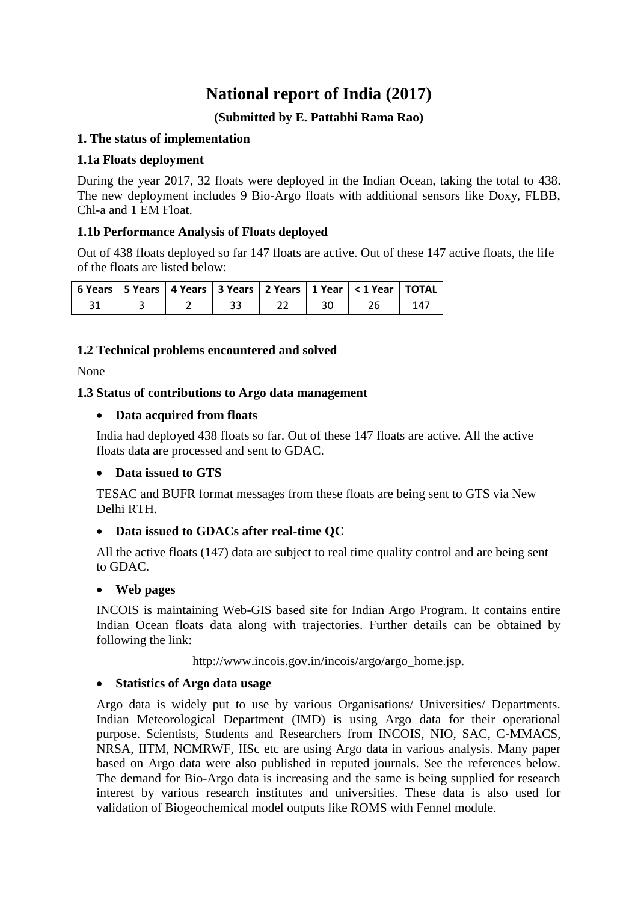# **National report of India (2017)**

# **(Submitted by E. Pattabhi Rama Rao)**

# **1. The status of implementation**

### **1.1a Floats deployment**

During the year 2017, 32 floats were deployed in the Indian Ocean, taking the total to 438. The new deployment includes 9 Bio-Argo floats with additional sensors like Doxy, FLBB, Chl-a and 1 EM Float.

# **1.1b Performance Analysis of Floats deployed**

Out of 438 floats deployed so far 147 floats are active. Out of these 147 active floats, the life of the floats are listed below:

|  |  |    | 6 Years   5 Years   4 Years   3 Years   2 Years   1 Year   < 1 Year   TOTAL |     |
|--|--|----|-----------------------------------------------------------------------------|-----|
|  |  | 30 |                                                                             | 147 |

# **1.2 Technical problems encountered and solved**

None

# **1.3 Status of contributions to Argo data management**

# **Data acquired from floats**

India had deployed 438 floats so far. Out of these 147 floats are active. All the active floats data are processed and sent to GDAC.

#### **Data issued to GTS**

TESAC and BUFR format messages from these floats are being sent to GTS via New Delhi RTH.

# **Data issued to GDACs after real-time QC**

All the active floats (147) data are subject to real time quality control and are being sent to GDAC.

#### **Web pages**

INCOIS is maintaining Web-GIS based site for Indian Argo Program. It contains entire Indian Ocean floats data along with trajectories. Further details can be obtained by following the link:

http://www.incois.gov.in/incois/argo/argo\_home.jsp.

#### **Statistics of Argo data usage**

Argo data is widely put to use by various Organisations/ Universities/ Departments. Indian Meteorological Department (IMD) is using Argo data for their operational purpose. Scientists, Students and Researchers from INCOIS, NIO, SAC, C-MMACS, NRSA, IITM, NCMRWF, IISc etc are using Argo data in various analysis. Many paper based on Argo data were also published in reputed journals. See the references below. The demand for Bio-Argo data is increasing and the same is being supplied for research interest by various research institutes and universities. These data is also used for validation of Biogeochemical model outputs like ROMS with Fennel module.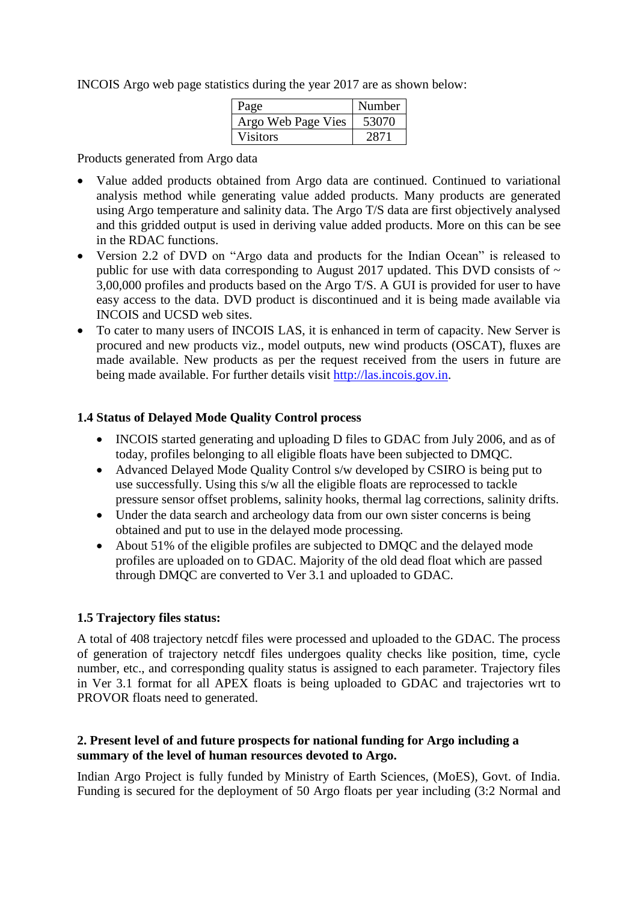INCOIS Argo web page statistics during the year 2017 are as shown below:

| Page               | Number |
|--------------------|--------|
| Argo Web Page Vies | 53070  |
| <b>Visitors</b>    | 2871   |

Products generated from Argo data

- Value added products obtained from Argo data are continued. Continued to variational analysis method while generating value added products. Many products are generated using Argo temperature and salinity data. The Argo T/S data are first objectively analysed and this gridded output is used in deriving value added products. More on this can be see in the RDAC functions.
- Version 2.2 of DVD on "Argo data and products for the Indian Ocean" is released to public for use with data corresponding to August 2017 updated. This DVD consists of  $\sim$ 3,00,000 profiles and products based on the Argo T/S. A GUI is provided for user to have easy access to the data. DVD product is discontinued and it is being made available via INCOIS and UCSD web sites.
- To cater to many users of INCOIS LAS, it is enhanced in term of capacity. New Server is procured and new products viz., model outputs, new wind products (OSCAT), fluxes are made available. New products as per the request received from the users in future are being made available. For further details visit [http://las.incois.gov.in.](http://las.incois.gov.in/)

#### **1.4 Status of Delayed Mode Quality Control process**

- INCOIS started generating and uploading D files to GDAC from July 2006, and as of today, profiles belonging to all eligible floats have been subjected to DMQC.
- Advanced Delayed Mode Quality Control s/w developed by CSIRO is being put to use successfully. Using this s/w all the eligible floats are reprocessed to tackle pressure sensor offset problems, salinity hooks, thermal lag corrections, salinity drifts.
- Under the data search and archeology data from our own sister concerns is being obtained and put to use in the delayed mode processing.
- About 51% of the eligible profiles are subjected to DMQC and the delayed mode profiles are uploaded on to GDAC. Majority of the old dead float which are passed through DMQC are converted to Ver 3.1 and uploaded to GDAC.

#### **1.5 Trajectory files status:**

A total of 408 trajectory netcdf files were processed and uploaded to the GDAC. The process of generation of trajectory netcdf files undergoes quality checks like position, time, cycle number, etc., and corresponding quality status is assigned to each parameter. Trajectory files in Ver 3.1 format for all APEX floats is being uploaded to GDAC and trajectories wrt to PROVOR floats need to generated.

#### **2. Present level of and future prospects for national funding for Argo including a summary of the level of human resources devoted to Argo.**

Indian Argo Project is fully funded by Ministry of Earth Sciences, (MoES), Govt. of India. Funding is secured for the deployment of 50 Argo floats per year including (3:2 Normal and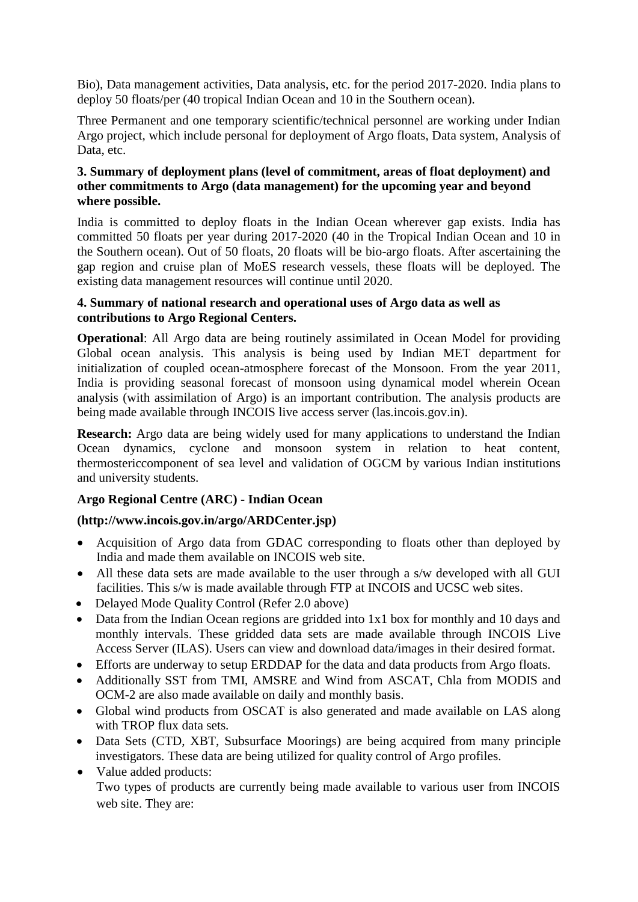Bio), Data management activities, Data analysis, etc. for the period 2017-2020. India plans to deploy 50 floats/per (40 tropical Indian Ocean and 10 in the Southern ocean).

Three Permanent and one temporary scientific/technical personnel are working under Indian Argo project, which include personal for deployment of Argo floats, Data system, Analysis of Data, etc.

### **3. Summary of deployment plans (level of commitment, areas of float deployment) and other commitments to Argo (data management) for the upcoming year and beyond where possible.**

India is committed to deploy floats in the Indian Ocean wherever gap exists. India has committed 50 floats per year during 2017-2020 (40 in the Tropical Indian Ocean and 10 in the Southern ocean). Out of 50 floats, 20 floats will be bio-argo floats. After ascertaining the gap region and cruise plan of MoES research vessels, these floats will be deployed. The existing data management resources will continue until 2020.

#### **4. Summary of national research and operational uses of Argo data as well as contributions to Argo Regional Centers.**

**Operational**: All Argo data are being routinely assimilated in Ocean Model for providing Global ocean analysis. This analysis is being used by Indian MET department for initialization of coupled ocean-atmosphere forecast of the Monsoon. From the year 2011, India is providing seasonal forecast of monsoon using dynamical model wherein Ocean analysis (with assimilation of Argo) is an important contribution. The analysis products are being made available through INCOIS live access server (las.incois.gov.in).

**Research:** Argo data are being widely used for many applications to understand the Indian Ocean dynamics, cyclone and monsoon system in relation to heat content, thermostericcomponent of sea level and validation of OGCM by various Indian institutions and university students.

# **Argo Regional Centre (ARC) - Indian Ocean**

#### **(http://www.incois.gov.in/argo/ARDCenter.jsp)**

- Acquisition of Argo data from GDAC corresponding to floats other than deployed by India and made them available on INCOIS web site.
- All these data sets are made available to the user through a s/w developed with all GUI facilities. This s/w is made available through FTP at INCOIS and UCSC web sites.
- Delayed Mode Quality Control (Refer 2.0 above)
- Data from the Indian Ocean regions are gridded into 1x1 box for monthly and 10 days and monthly intervals. These gridded data sets are made available through INCOIS Live Access Server (ILAS). Users can view and download data/images in their desired format.
- Efforts are underway to setup ERDDAP for the data and data products from Argo floats.
- Additionally SST from TMI, AMSRE and Wind from ASCAT, Chla from MODIS and OCM-2 are also made available on daily and monthly basis.
- Global wind products from OSCAT is also generated and made available on LAS along with TROP flux data sets.
- Data Sets (CTD, XBT, Subsurface Moorings) are being acquired from many principle investigators. These data are being utilized for quality control of Argo profiles.
- Value added products: Two types of products are currently being made available to various user from INCOIS web site. They are: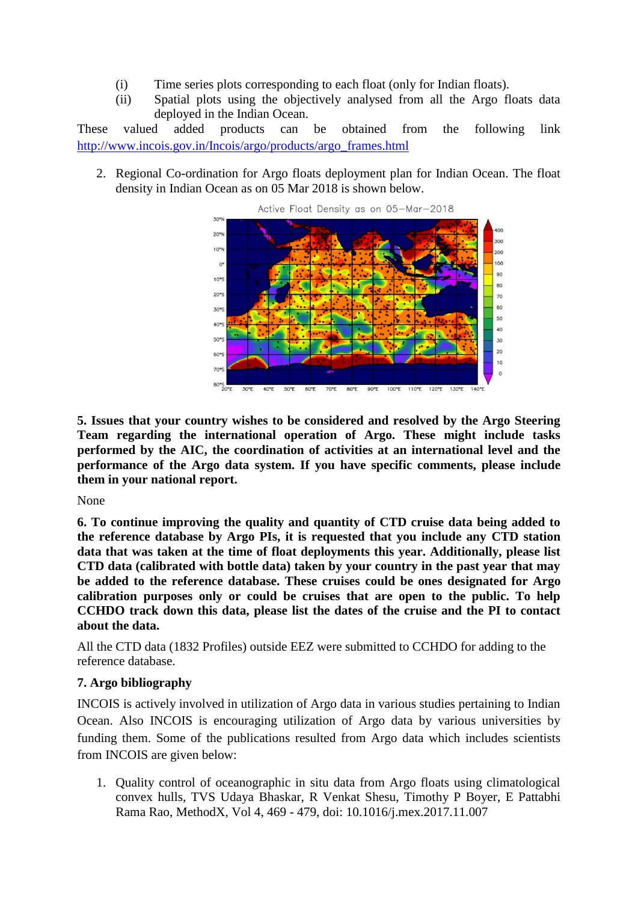- (i) Time series plots corresponding to each float (only for Indian floats).
- (ii) Spatial plots using the objectively analysed from all the Argo floats data deployed in the Indian Ocean.

These valued added products can be obtained from the following link [http://www.incois.gov.in/Incois/argo/products/argo\\_frames.html](http://www.incois.gov.in/Incois/argo/products/argo_frames.html)

2. Regional Co-ordination for Argo floats deployment plan for Indian Ocean. The float density in Indian Ocean as on 05 Mar 2018 is shown below.



**5. Issues that your country wishes to be considered and resolved by the Argo Steering Team regarding the international operation of Argo. These might include tasks performed by the AIC, the coordination of activities at an international level and the performance of the Argo data system. If you have specific comments, please include them in your national report.**

None

**6. To continue improving the quality and quantity of CTD cruise data being added to the reference database by Argo PIs, it is requested that you include any CTD station data that was taken at the time of float deployments this year. Additionally, please list CTD data (calibrated with bottle data) taken by your country in the past year that may be added to the reference database. These cruises could be ones designated for Argo calibration purposes only or could be cruises that are open to the public. To help CCHDO track down this data, please list the dates of the cruise and the PI to contact about the data.**

All the CTD data (1832 Profiles) outside EEZ were submitted to CCHDO for adding to the reference database.

# **7. Argo bibliography**

INCOIS is actively involved in utilization of Argo data in various studies pertaining to Indian Ocean. Also INCOIS is encouraging utilization of Argo data by various universities by funding them. Some of the publications resulted from Argo data which includes scientists from INCOIS are given below:

1. Quality control of oceanographic in situ data from Argo floats using climatological convex hulls, TVS Udaya Bhaskar, R Venkat Shesu, Timothy P Boyer, E Pattabhi Rama Rao, MethodX, Vol 4, 469 - 479, doi: 10.1016/j.mex.2017.11.007